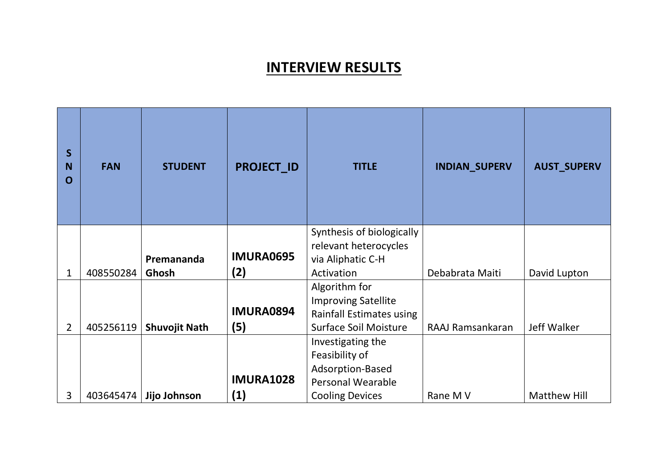## **INTERVIEW RESULTS**

| $\mathsf{S}$<br><b>N</b><br>O | <b>FAN</b> | <b>STUDENT</b>       | <b>PROJECT ID</b>       | <b>TITLE</b>                                                                                                  | <b>INDIAN_SUPERV</b> | <b>AUST_SUPERV</b>  |
|-------------------------------|------------|----------------------|-------------------------|---------------------------------------------------------------------------------------------------------------|----------------------|---------------------|
| 1                             | 408550284  | Premananda<br>Ghosh  | <b>IMURA0695</b><br>(2) | Synthesis of biologically<br>relevant heterocycles<br>via Aliphatic C-H<br>Activation                         | Debabrata Maiti      | David Lupton        |
| $\overline{2}$                | 405256119  | <b>Shuvojit Nath</b> | <b>IMURA0894</b><br>(5) | Algorithm for<br><b>Improving Satellite</b><br>Rainfall Estimates using<br><b>Surface Soil Moisture</b>       | RAAJ Ramsankaran     | Jeff Walker         |
| 3                             | 403645474  | Jijo Johnson         | <b>IMURA1028</b><br>(1) | Investigating the<br>Feasibility of<br>Adsorption-Based<br><b>Personal Wearable</b><br><b>Cooling Devices</b> | Rane M V             | <b>Matthew Hill</b> |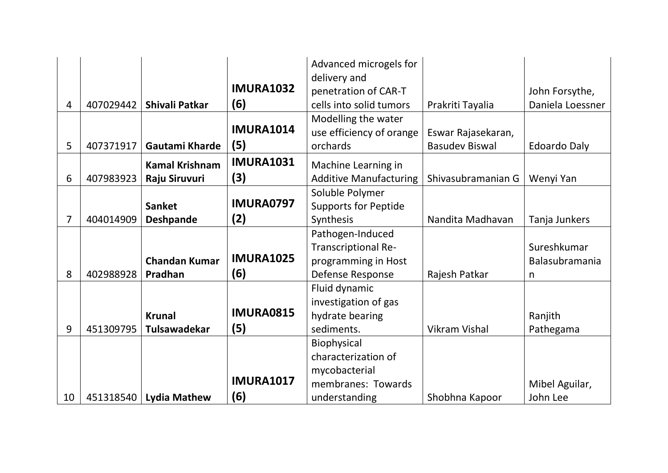|    |           |                          |                  | Advanced microgels for        |                       |                     |
|----|-----------|--------------------------|------------------|-------------------------------|-----------------------|---------------------|
|    |           |                          | <b>IMURA1032</b> | delivery and                  |                       |                     |
|    |           |                          |                  | penetration of CAR-T          |                       | John Forsythe,      |
| 4  | 407029442 | Shivali Patkar           | (6)              | cells into solid tumors       | Prakriti Tayalia      | Daniela Loessner    |
|    |           |                          |                  | Modelling the water           |                       |                     |
|    |           |                          | <b>IMURA1014</b> | use efficiency of orange      | Eswar Rajasekaran,    |                     |
| 5  | 407371917 | Gautami Kharde           | (5)              | orchards                      | <b>Basudev Biswal</b> | <b>Edoardo Daly</b> |
|    |           | <b>Kamal Krishnam</b>    | <b>IMURA1031</b> | Machine Learning in           |                       |                     |
| 6  | 407983923 | Raju Siruvuri            | (3)              | <b>Additive Manufacturing</b> | Shivasubramanian G    | Wenyi Yan           |
|    |           |                          |                  | Soluble Polymer               |                       |                     |
|    |           | <b>Sanket</b>            | <b>IMURA0797</b> | <b>Supports for Peptide</b>   |                       |                     |
| 7  | 404014909 | <b>Deshpande</b>         | (2)              | Synthesis                     | Nandita Madhavan      | Tanja Junkers       |
|    |           |                          |                  | Pathogen-Induced              |                       |                     |
|    |           |                          |                  | <b>Transcriptional Re-</b>    |                       | Sureshkumar         |
|    |           | <b>Chandan Kumar</b>     | <b>IMURA1025</b> | programming in Host           |                       | Balasubramania      |
| 8  | 402988928 | Pradhan                  | (6)              | Defense Response              | Rajesh Patkar         | n                   |
|    |           |                          |                  | Fluid dynamic                 |                       |                     |
|    |           |                          |                  | investigation of gas          |                       |                     |
|    |           | <b>Krunal</b>            | <b>IMURA0815</b> | hydrate bearing               |                       | Ranjith             |
| 9  | 451309795 | Tulsawadekar             | (5)              | sediments.                    | <b>Vikram Vishal</b>  | Pathegama           |
|    |           |                          |                  | Biophysical                   |                       |                     |
|    |           |                          |                  | characterization of           |                       |                     |
|    |           |                          |                  | mycobacterial                 |                       |                     |
|    |           |                          | <b>IMURA1017</b> | membranes: Towards            |                       | Mibel Aguilar,      |
| 10 |           | 451318540   Lydia Mathew | (6)              | understanding                 | Shobhna Kapoor        | John Lee            |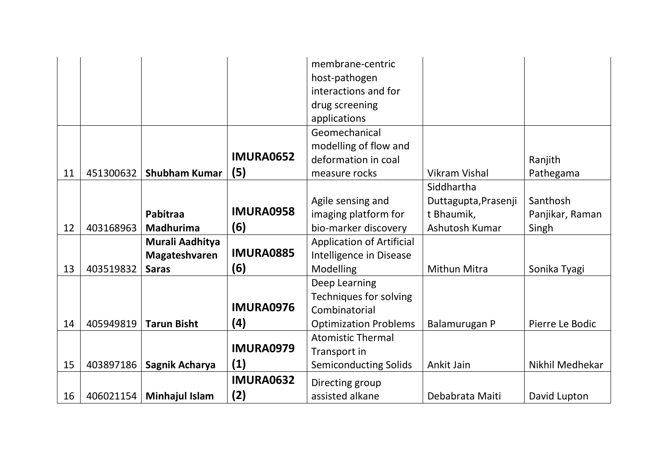|    |           |                       |                  | membrane-centric                 |                      |                 |
|----|-----------|-----------------------|------------------|----------------------------------|----------------------|-----------------|
|    |           |                       |                  | host-pathogen                    |                      |                 |
|    |           |                       |                  | interactions and for             |                      |                 |
|    |           |                       |                  | drug screening                   |                      |                 |
|    |           |                       |                  | applications                     |                      |                 |
|    |           |                       |                  | Geomechanical                    |                      |                 |
|    |           |                       |                  | modelling of flow and            |                      |                 |
|    |           |                       | <b>IMURA0652</b> | deformation in coal              |                      | Ranjith         |
| 11 | 451300632 | <b>Shubham Kumar</b>  | (5)              | measure rocks                    | <b>Vikram Vishal</b> | Pathegama       |
|    |           |                       |                  |                                  | Siddhartha           |                 |
|    |           |                       |                  | Agile sensing and                | Duttagupta, Prasenji | Santhosh        |
|    |           | Pabitraa              | <b>IMURA0958</b> | imaging platform for             | t Bhaumik,           | Panjikar, Raman |
| 12 | 403168963 | <b>Madhurima</b>      | (6)              | bio-marker discovery             | Ashutosh Kumar       | Singh           |
|    |           | Murali Aadhitya       |                  | <b>Application of Artificial</b> |                      |                 |
|    |           | Magateshvaren         | <b>IMURA0885</b> | Intelligence in Disease          |                      |                 |
| 13 | 403519832 | <b>Saras</b>          | (6)              | Modelling                        | Mithun Mitra         | Sonika Tyagi    |
|    |           |                       |                  | Deep Learning                    |                      |                 |
|    |           |                       |                  | <b>Techniques for solving</b>    |                      |                 |
|    |           |                       | <b>IMURA0976</b> | Combinatorial                    |                      |                 |
| 14 | 405949819 | <b>Tarun Bisht</b>    | (4)              | <b>Optimization Problems</b>     | Balamurugan P        | Pierre Le Bodic |
|    |           |                       |                  | <b>Atomistic Thermal</b>         |                      |                 |
|    |           |                       | <b>IMURA0979</b> | Transport in                     |                      |                 |
| 15 | 403897186 | Sagnik Acharya        | (1)              | <b>Semiconducting Solids</b>     | Ankit Jain           | Nikhil Medhekar |
|    |           |                       | <b>IMURA0632</b> | Directing group                  |                      |                 |
| 16 | 406021154 | <b>Minhajul Islam</b> | (2)              | assisted alkane                  | Debabrata Maiti      | David Lupton    |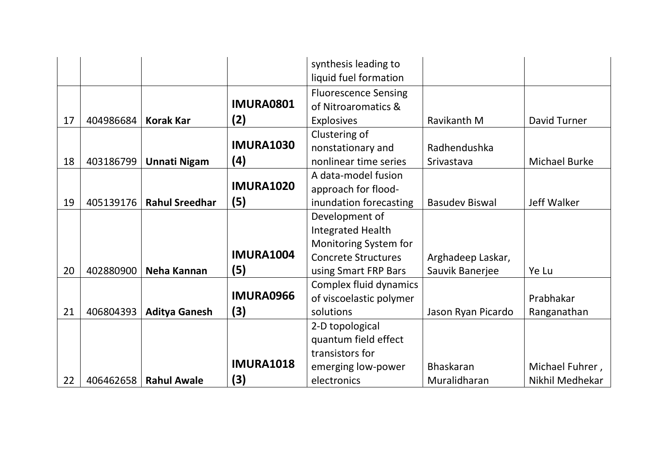|    |           |                       |                  | synthesis leading to        |                       |                      |
|----|-----------|-----------------------|------------------|-----------------------------|-----------------------|----------------------|
|    |           |                       |                  | liquid fuel formation       |                       |                      |
|    |           |                       |                  | <b>Fluorescence Sensing</b> |                       |                      |
|    |           |                       | <b>IMURA0801</b> | of Nitroaromatics &         |                       |                      |
| 17 | 404986684 | <b>Korak Kar</b>      | (2)              | <b>Explosives</b>           | Ravikanth M           | David Turner         |
|    |           |                       |                  | Clustering of               |                       |                      |
|    |           |                       | <b>IMURA1030</b> | nonstationary and           | Radhendushka          |                      |
| 18 | 403186799 | <b>Unnati Nigam</b>   | (4)              | nonlinear time series       | Srivastava            | <b>Michael Burke</b> |
|    |           |                       |                  | A data-model fusion         |                       |                      |
|    |           |                       | <b>IMURA1020</b> | approach for flood-         |                       |                      |
| 19 | 405139176 | <b>Rahul Sreedhar</b> | (5)              | inundation forecasting      | <b>Basudev Biswal</b> | Jeff Walker          |
|    |           |                       |                  | Development of              |                       |                      |
|    |           |                       |                  | Integrated Health           |                       |                      |
|    |           |                       |                  | Monitoring System for       |                       |                      |
|    |           |                       | <b>IMURA1004</b> | <b>Concrete Structures</b>  | Arghadeep Laskar,     |                      |
| 20 | 402880900 | Neha Kannan           | (5)              | using Smart FRP Bars        | Sauvik Banerjee       | Ye Lu                |
|    |           |                       |                  | Complex fluid dynamics      |                       |                      |
|    |           |                       | <b>IMURA0966</b> | of viscoelastic polymer     |                       | Prabhakar            |
| 21 | 406804393 | <b>Aditya Ganesh</b>  | (3)              | solutions                   | Jason Ryan Picardo    | Ranganathan          |
|    |           |                       |                  | 2-D topological             |                       |                      |
|    |           |                       |                  | quantum field effect        |                       |                      |
|    |           |                       |                  | transistors for             |                       |                      |
|    |           |                       | <b>IMURA1018</b> | emerging low-power          | <b>Bhaskaran</b>      | Michael Fuhrer,      |
| 22 | 406462658 | <b>Rahul Awale</b>    | (3)              | electronics                 | Muralidharan          | Nikhil Medhekar      |